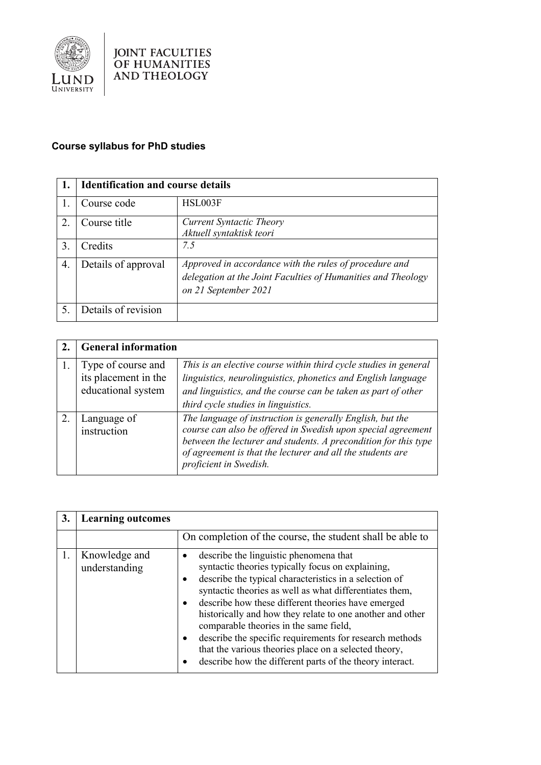

## **Course syllabus for PhD studies**

|    | <b>Identification and course details</b> |                                                                                                                                                |
|----|------------------------------------------|------------------------------------------------------------------------------------------------------------------------------------------------|
|    | Course code                              | HSL003F                                                                                                                                        |
| 2. | Course title                             | <b>Current Syntactic Theory</b><br>Aktuell syntaktisk teori                                                                                    |
| 3. | Credits                                  | 7.5                                                                                                                                            |
| 4. | Details of approval                      | Approved in accordance with the rules of procedure and<br>delegation at the Joint Faculties of Humanities and Theology<br>on 21 September 2021 |
| 5. | Details of revision                      |                                                                                                                                                |

| <b>General information</b>                                       |                                                                                                                                                                                                                                                                                      |
|------------------------------------------------------------------|--------------------------------------------------------------------------------------------------------------------------------------------------------------------------------------------------------------------------------------------------------------------------------------|
| Type of course and<br>its placement in the<br>educational system | This is an elective course within third cycle studies in general<br>linguistics, neurolinguistics, phonetics and English language<br>and linguistics, and the course can be taken as part of other<br>third cycle studies in linguistics.                                            |
| Language of<br>instruction                                       | The language of instruction is generally English, but the<br>course can also be offered in Swedish upon special agreement<br>between the lecturer and students. A precondition for this type<br>of agreement is that the lecturer and all the students are<br>proficient in Swedish. |

| 3. | <b>Learning outcomes</b>       |                                                                                                                                                                                                                                                                                                                                                                                                                                                                                                                                                               |
|----|--------------------------------|---------------------------------------------------------------------------------------------------------------------------------------------------------------------------------------------------------------------------------------------------------------------------------------------------------------------------------------------------------------------------------------------------------------------------------------------------------------------------------------------------------------------------------------------------------------|
|    |                                | On completion of the course, the student shall be able to                                                                                                                                                                                                                                                                                                                                                                                                                                                                                                     |
|    | Knowledge and<br>understanding | describe the linguistic phenomena that<br>syntactic theories typically focus on explaining,<br>describe the typical characteristics in a selection of<br>syntactic theories as well as what differentiates them,<br>describe how these different theories have emerged<br>historically and how they relate to one another and other<br>comparable theories in the same field,<br>describe the specific requirements for research methods<br>that the various theories place on a selected theory,<br>describe how the different parts of the theory interact. |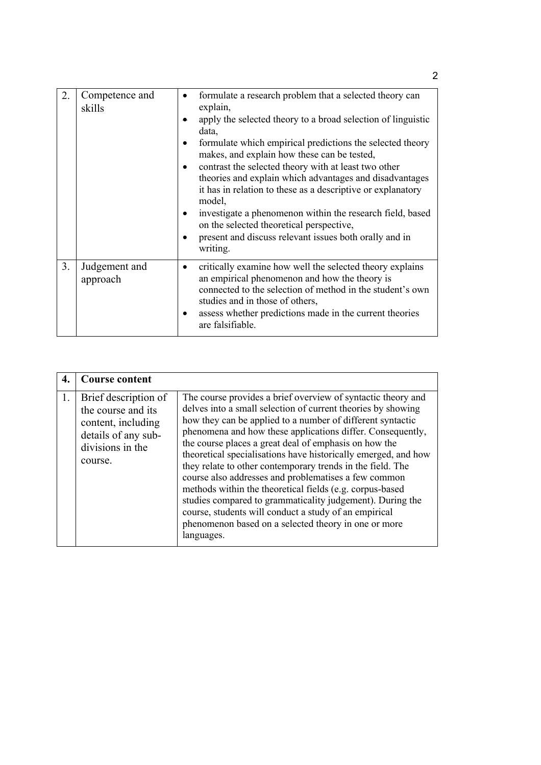| 2. | Competence and<br>skills  | formulate a research problem that a selected theory can<br>٠<br>explain,<br>apply the selected theory to a broad selection of linguistic<br>data,<br>formulate which empirical predictions the selected theory<br>٠<br>makes, and explain how these can be tested,<br>contrast the selected theory with at least two other<br>theories and explain which advantages and disadvantages<br>it has in relation to these as a descriptive or explanatory<br>model,<br>investigate a phenomenon within the research field, based<br>٠<br>on the selected theoretical perspective,<br>present and discuss relevant issues both orally and in<br>writing. |
|----|---------------------------|----------------------------------------------------------------------------------------------------------------------------------------------------------------------------------------------------------------------------------------------------------------------------------------------------------------------------------------------------------------------------------------------------------------------------------------------------------------------------------------------------------------------------------------------------------------------------------------------------------------------------------------------------|
| 3. | Judgement and<br>approach | critically examine how well the selected theory explains<br>an empirical phenomenon and how the theory is<br>connected to the selection of method in the student's own<br>studies and in those of others,<br>assess whether predictions made in the current theories<br>are falsifiable.                                                                                                                                                                                                                                                                                                                                                           |

|    | <b>Course content</b>                                                                                                  |                                                                                                                                                                                                                                                                                                                                                                                                                                                                                                                                                                                                                                                                                                                                                                   |
|----|------------------------------------------------------------------------------------------------------------------------|-------------------------------------------------------------------------------------------------------------------------------------------------------------------------------------------------------------------------------------------------------------------------------------------------------------------------------------------------------------------------------------------------------------------------------------------------------------------------------------------------------------------------------------------------------------------------------------------------------------------------------------------------------------------------------------------------------------------------------------------------------------------|
| 1. | Brief description of<br>the course and its<br>content, including<br>details of any sub-<br>divisions in the<br>course. | The course provides a brief overview of syntactic theory and<br>delves into a small selection of current theories by showing<br>how they can be applied to a number of different syntactic<br>phenomena and how these applications differ. Consequently,<br>the course places a great deal of emphasis on how the<br>theoretical specialisations have historically emerged, and how<br>they relate to other contemporary trends in the field. The<br>course also addresses and problematises a few common<br>methods within the theoretical fields (e.g. corpus-based<br>studies compared to grammaticality judgement). During the<br>course, students will conduct a study of an empirical<br>phenomenon based on a selected theory in one or more<br>languages. |